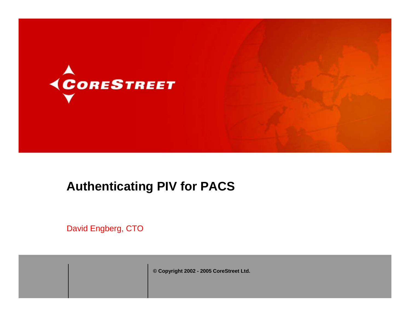



# **Authenticating PIV for PACS**

David Engberg, CTO

**© Copyright 2002 - 2005 CoreStreet Ltd.**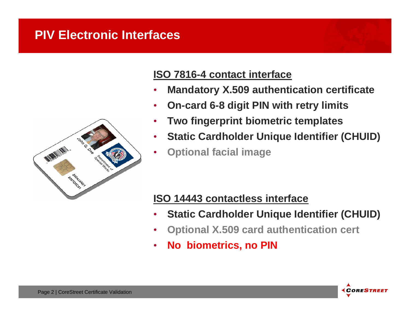#### **PIV Electronic Interfaces**



#### **ISO 7816-4 contact interface**

- •**Mandatory X.509 authentication certificate**
- •**On-card 6-8 digit PIN with retry limits**
- •**Two fingerprint biometric templates**
- •**Static Cardholder Unique Identifier (CHUID)**
- •**Optional facial image**

#### **ISO 14443 contactless interface**

- •**Static Cardholder Unique Identifier (CHUID)**
- •**Optional X.509 card authentication cert**
- •**No biometrics, no PIN**

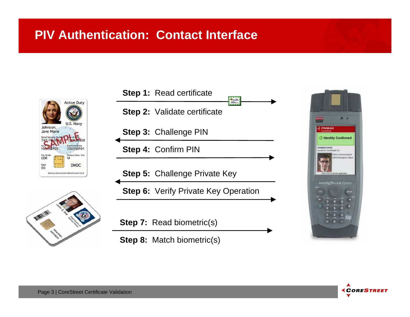## **PIV Authentication: Contact Interface**





| <b>Step 1:</b> Read certificate             |
|---------------------------------------------|
| <b>Step 2:</b> Validate certificate         |
| Step 3: Challenge PIN                       |
| <b>Step 4: Confirm PIN</b>                  |
| <b>Step 5: Challenge Private Key</b>        |
| <b>Step 6:</b> Verify Private Key Operation |
|                                             |
| <b>Step 7:</b> Read biometric(s)            |
| <b>Step 8:</b> Match biometric(s)           |



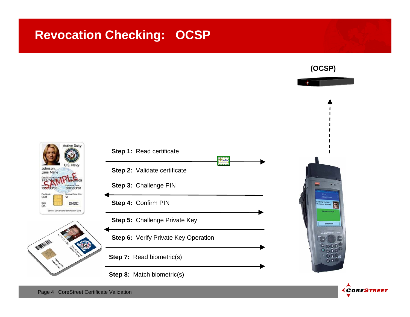# **Revocation Checking: OCSP**

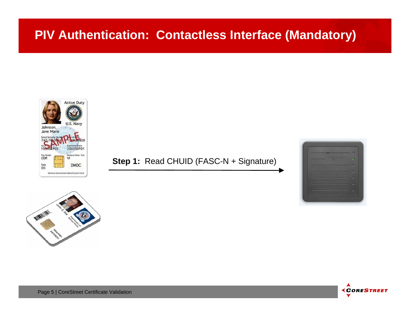

#### **Step 1: Read CHUID (FASC-N + Signature)**





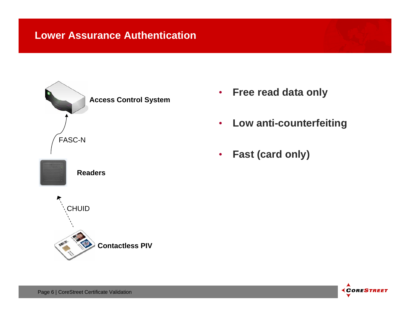

- $\bullet$ **Free read data only**
- •**Low anti-counterfeiting**
- $\bullet$ **Fast (card only)**

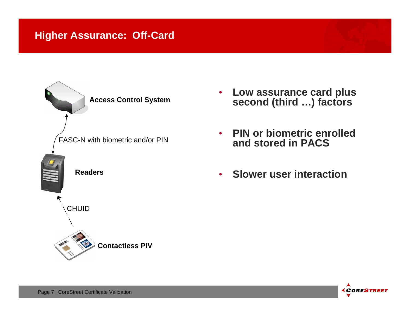

- $\bullet$  **Low assurance card plus second (third …) factors**
- • **PIN or biometric enrolled and stored in PACS**
- **Slower user interaction**

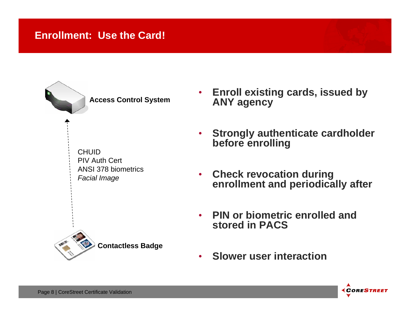#### **Enrollment: Use the Card!**

**Access Control System**

CHUIDPIV Auth CertANSI 378 biometrics*Facial Image*



- $\bullet$  **Strongly authenticate cardholder before enrolling**
- • **Check revocation during enrollment and periodically after**
- $\bullet$  **PIN or biometric enrolled and stored in PACS**
- •**Slower user interaction**



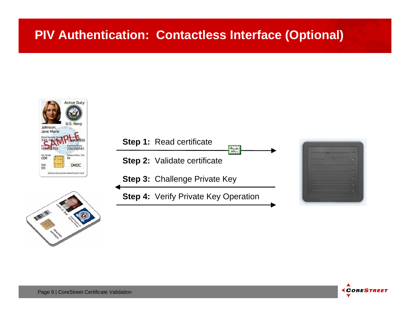# **PIV Authentication: Contactless Interface (Optional)**









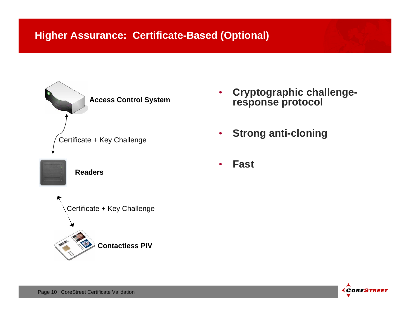

- • **Cryptographic challengeresponse protocol**
- •**Strong anti-cloning**
- •**Fast**



Page 10 | CoreStreet Certificate Validation